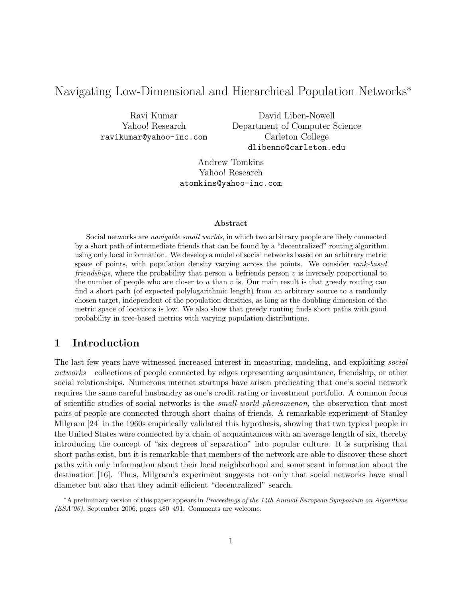# Navigating Low-Dimensional and Hierarchical Population Networks<sup>∗</sup>

Ravi Kumar Yahoo! Research ravikumar@yahoo-inc.com

David Liben-Nowell Department of Computer Science Carleton College dlibenno@carleton.edu

Andrew Tomkins Yahoo! Research atomkins@yahoo-inc.com

#### Abstract

Social networks are navigable small worlds, in which two arbitrary people are likely connected by a short path of intermediate friends that can be found by a "decentralized" routing algorithm using only local information. We develop a model of social networks based on an arbitrary metric space of points, with population density varying across the points. We consider rank-based friendships, where the probability that person  $u$  befriends person  $v$  is inversely proportional to the number of people who are closer to  $u$  than  $v$  is. Our main result is that greedy routing can find a short path (of expected polylogarithmic length) from an arbitrary source to a randomly chosen target, independent of the population densities, as long as the doubling dimension of the metric space of locations is low. We also show that greedy routing finds short paths with good probability in tree-based metrics with varying population distributions.

### 1 Introduction

The last few years have witnessed increased interest in measuring, modeling, and exploiting social networks—collections of people connected by edges representing acquaintance, friendship, or other social relationships. Numerous internet startups have arisen predicating that one's social network requires the same careful husbandry as one's credit rating or investment portfolio. A common focus of scientific studies of social networks is the small-world phenomenon, the observation that most pairs of people are connected through short chains of friends. A remarkable experiment of Stanley Milgram [24] in the 1960s empirically validated this hypothesis, showing that two typical people in the United States were connected by a chain of acquaintances with an average length of six, thereby introducing the concept of "six degrees of separation" into popular culture. It is surprising that short paths exist, but it is remarkable that members of the network are able to discover these short paths with only information about their local neighborhood and some scant information about the destination [16]. Thus, Milgram's experiment suggests not only that social networks have small diameter but also that they admit efficient "decentralized" search.

<sup>∗</sup>A preliminary version of this paper appears in Proceedings of the 14th Annual European Symposium on Algorithms (ESA'06), September 2006, pages 480–491. Comments are welcome.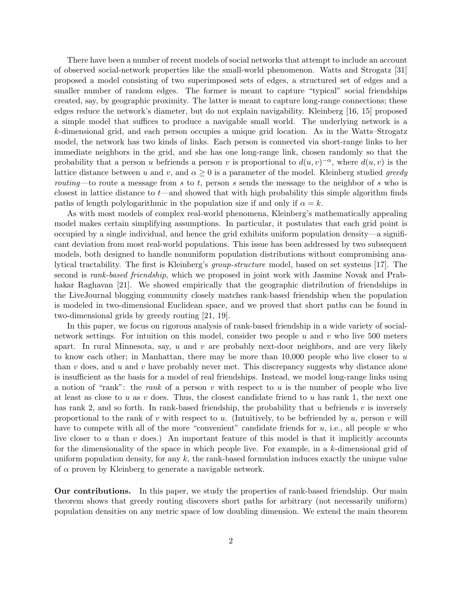There have been a number of recent models of social networks that attempt to include an account of observed social-network properties like the small-world phenomenon. Watts and Strogatz [31] proposed a model consisting of two superimposed sets of edges, a structured set of edges and a smaller number of random edges. The former is meant to capture "typical" social friendships created, say, by geographic proximity. The latter is meant to capture long-range connections; these edges reduce the network's diameter, but do not explain navigability. Kleinberg [16, 15] proposed a simple model that suffices to produce a navigable small world. The underlying network is a k-dimensional grid, and each person occupies a unique grid location. As in the Watts–Strogatz model, the network has two kinds of links. Each person is connected via short-range links to her immediate neighbors in the grid, and she has one long-range link, chosen randomly so that the probability that a person u befriends a person v is proportional to  $d(u, v)^{-\alpha}$ , where  $d(u, v)$  is the lattice distance between u and v, and  $\alpha \geq 0$  is a parameter of the model. Kleinberg studied greedy routing—to route a message from s to t, person s sends the message to the neighbor of s who is closest in lattice distance to  $t$ —and showed that with high probability this simple algorithm finds paths of length polylogarithmic in the population size if and only if  $\alpha = k$ .

As with most models of complex real-world phenomena, Kleinberg's mathematically appealing model makes certain simplifying assumptions. In particular, it postulates that each grid point is occupied by a single individual, and hence the grid exhibits uniform population density—a significant deviation from most real-world populations. This issue has been addressed by two subsequent models, both designed to handle nonuniform population distributions without compromising analytical tractability. The first is Kleinberg's group-structure model, based on set systems [17]. The second is rank-based friendship, which we proposed in joint work with Jasmine Novak and Prabhakar Raghavan [21]. We showed empirically that the geographic distribution of friendships in the LiveJournal blogging community closely matches rank-based friendship when the population is modeled in two-dimensional Euclidean space, and we proved that short paths can be found in two-dimensional grids by greedy routing [21, 19].

In this paper, we focus on rigorous analysis of rank-based friendship in a wide variety of socialnetwork settings. For intuition on this model, consider two people  $u$  and  $v$  who live 500 meters apart. In rural Minnesota, say,  $u$  and  $v$  are probably next-door neighbors, and are very likely to know each other; in Manhattan, there may be more than  $10,000$  people who live closer to  $u$ than  $v$  does, and  $u$  and  $v$  have probably never met. This discrepancy suggests why distance alone is insufficient as the basis for a model of real friendships. Instead, we model long-range links using a notion of "rank": the *rank* of a person v with respect to u is the number of people who live at least as close to  $u$  as  $v$  does. Thus, the closest candidate friend to  $u$  has rank 1, the next one has rank 2, and so forth. In rank-based friendship, the probability that u befriends v is inversely proportional to the rank of v with respect to u. (Intuitively, to be befriended by u, person v will have to compete with all of the more "convenient" candidate friends for  $u$ , i.e., all people  $w$  who live closer to  $u$  than  $v$  does.) An important feature of this model is that it implicitly accounts for the dimensionality of the space in which people live. For example, in a  $k$ -dimensional grid of uniform population density, for any  $k$ , the rank-based formulation induces exactly the unique value of  $\alpha$  proven by Kleinberg to generate a navigable network.

Our contributions. In this paper, we study the properties of rank-based friendship. Our main theorem shows that greedy routing discovers short paths for arbitrary (not necessarily uniform) population densities on any metric space of low doubling dimension. We extend the main theorem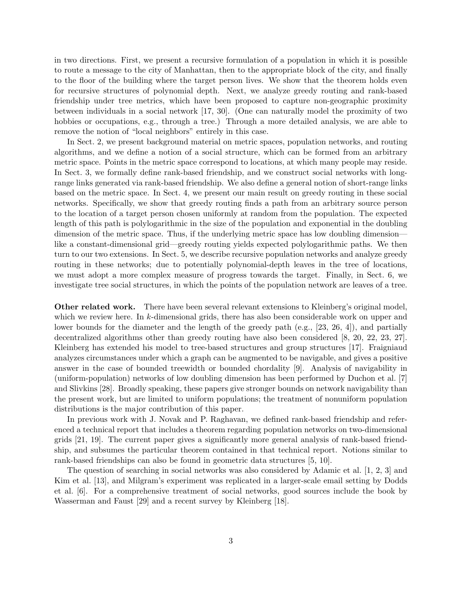in two directions. First, we present a recursive formulation of a population in which it is possible to route a message to the city of Manhattan, then to the appropriate block of the city, and finally to the floor of the building where the target person lives. We show that the theorem holds even for recursive structures of polynomial depth. Next, we analyze greedy routing and rank-based friendship under tree metrics, which have been proposed to capture non-geographic proximity between individuals in a social network [17, 30]. (One can naturally model the proximity of two hobbies or occupations, e.g., through a tree.) Through a more detailed analysis, we are able to remove the notion of "local neighbors" entirely in this case.

In Sect. 2, we present background material on metric spaces, population networks, and routing algorithms, and we define a notion of a social structure, which can be formed from an arbitrary metric space. Points in the metric space correspond to locations, at which many people may reside. In Sect. 3, we formally define rank-based friendship, and we construct social networks with longrange links generated via rank-based friendship. We also define a general notion of short-range links based on the metric space. In Sect. 4, we present our main result on greedy routing in these social networks. Specifically, we show that greedy routing finds a path from an arbitrary source person to the location of a target person chosen uniformly at random from the population. The expected length of this path is polylogarithmic in the size of the population and exponential in the doubling dimension of the metric space. Thus, if the underlying metric space has low doubling dimension like a constant-dimensional grid—greedy routing yields expected polylogarithmic paths. We then turn to our two extensions. In Sect. 5, we describe recursive population networks and analyze greedy routing in these networks; due to potentially polynomial-depth leaves in the tree of locations, we must adopt a more complex measure of progress towards the target. Finally, in Sect. 6, we investigate tree social structures, in which the points of the population network are leaves of a tree.

Other related work. There have been several relevant extensions to Kleinberg's original model, which we review here. In k-dimensional grids, there has also been considerable work on upper and lower bounds for the diameter and the length of the greedy path (e.g., [23, 26, 4]), and partially decentralized algorithms other than greedy routing have also been considered [8, 20, 22, 23, 27]. Kleinberg has extended his model to tree-based structures and group structures [17]. Fraigniaud analyzes circumstances under which a graph can be augmented to be navigable, and gives a positive answer in the case of bounded treewidth or bounded chordality [9]. Analysis of navigability in (uniform-population) networks of low doubling dimension has been performed by Duchon et al. [7] and Slivkins [28]. Broadly speaking, these papers give stronger bounds on network navigability than the present work, but are limited to uniform populations; the treatment of nonuniform population distributions is the major contribution of this paper.

In previous work with J. Novak and P. Raghavan, we defined rank-based friendship and referenced a technical report that includes a theorem regarding population networks on two-dimensional grids [21, 19]. The current paper gives a significantly more general analysis of rank-based friendship, and subsumes the particular theorem contained in that technical report. Notions similar to rank-based friendships can also be found in geometric data structures [5, 10].

The question of searching in social networks was also considered by Adamic et al. [1, 2, 3] and Kim et al. [13], and Milgram's experiment was replicated in a larger-scale email setting by Dodds et al. [6]. For a comprehensive treatment of social networks, good sources include the book by Wasserman and Faust [29] and a recent survey by Kleinberg [18].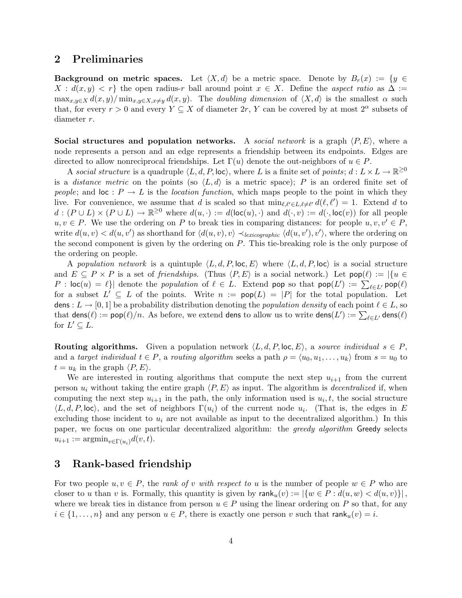### 2 Preliminaries

**Background on metric spaces.** Let  $\langle X, d \rangle$  be a metric space. Denote by  $B_r(x) := \{y \in$  $X : d(x, y) < r$  the open radius-r ball around point  $x \in X$ . Define the aspect ratio as  $\Delta :=$  $\max_{x,y\in X} d(x,y)/\min_{x,y\in X, x\neq y} d(x,y)$ . The *doubling dimension* of  $\langle X, d \rangle$  is the smallest  $\alpha$  such that, for every  $r > 0$  and every  $Y \subseteq X$  of diameter  $2r$ , Y can be covered by at most  $2^{\alpha}$  subsets of diameter r.

Social structures and population networks. A social network is a graph  $\langle P, E \rangle$ , where a node represents a person and an edge represents a friendship between its endpoints. Edges are directed to allow nonreciprocal friendships. Let  $\Gamma(u)$  denote the out-neighbors of  $u \in P$ .

A social structure is a quadruple  $\langle L, d, P, \text{loc} \rangle$ , where L is a finite set of points;  $d : L \times L \to \mathbb{R}^{\geq 0}$ is a *distance metric* on the points (so  $\langle L, d \rangle$  is a metric space); P is an ordered finite set of people; and  $\text{loc}: P \to L$  is the location function, which maps people to the point in which they live. For convenience, we assume that d is scaled so that  $\min_{\ell,\ell'\in L,\ell\neq\ell'} d(\ell,\ell') = 1$ . Extend d to  $d:(P\cup L)\times (P\cup L)\to\mathbb{R}^{\geq 0}$  where  $d(u,\cdot):=d(\mathsf{loc}(u),\cdot)$  and  $d(\cdot,v):=d(\cdot,\mathsf{loc}(v))$  for all people  $u, v \in P$ . We use the ordering on P to break ties in comparing distances: for people  $u, v, v' \in P$ , write  $d(u, v) < d(u, v')$  as shorthand for  $\langle d(u, v), v \rangle \prec_{lexicographic} \langle d(u, v'), v' \rangle$ , where the ordering on the second component is given by the ordering on  $P$ . This tie-breaking role is the only purpose of the ordering on people.

A population network is a quintuple  $\langle L, d, P, \text{loc}, E \rangle$  where  $\langle L, d, P, \text{loc} \rangle$  is a social structure and  $E \subseteq P \times P$  is a set of friendships. (Thus  $\langle P, E \rangle$  is a social network.) Let  $\mathsf{pop}(\ell) := |\{u \in$  $P : \mathsf{loc}(u) = \ell \}$  denote the population of  $\ell \in L$ . Extend pop so that  $\mathsf{pop}(L') := \sum_{\ell \in L'} \mathsf{pop}(\ell)$ for a subset  $L' \subseteq L$  of the points. Write  $n := \textsf{pop}(L) = |P|$  for the total population. Let dens :  $L \to [0, 1]$  be a probability distribution denoting the *population density* of each point  $\ell \in L$ , so that  $\mathsf{dens}(\ell) := \mathsf{pop}(\ell)/n$ . As before, we extend dens to allow us to write  $\mathsf{dens}(L') := \sum_{\ell \in L'} \mathsf{dens}(\ell)$ for  $L' \subseteq L$ .

**Routing algorithms.** Given a population network  $\langle L, d, P, \text{loc}, E \rangle$ , a source individual  $s \in P$ , and a target individual  $t \in P$ , a routing algorithm seeks a path  $\rho = \langle u_0, u_1, \ldots, u_k \rangle$  from  $s = u_0$  to  $t = u_k$  in the graph  $\langle P, E \rangle$ .

We are interested in routing algorithms that compute the next step  $u_{i+1}$  from the current person  $u_i$  without taking the entire graph  $\langle P, E \rangle$  as input. The algorithm is *decentralized* if, when computing the next step  $u_{i+1}$  in the path, the only information used is  $u_i, t$ , the social structure  $\langle L, d, P, \text{loc} \rangle$ , and the set of neighbors  $\Gamma(u_i)$  of the current node  $u_i$ . (That is, the edges in E excluding those incident to  $u_i$  are not available as input to the decentralized algorithm.) In this paper, we focus on one particular decentralized algorithm: the greedy algorithm Greedy selects  $u_{i+1} := \operatorname{argmin}_{v \in \Gamma(u_i)} d(v, t).$ 

## 3 Rank-based friendship

For two people  $u, v \in P$ , the *rank of v with respect to u* is the number of people  $w \in P$  who are closer to u than v is. Formally, this quantity is given by  $\text{rank}_u(v) := |\{w \in P : d(u, w) < d(u, v)\}|$ , where we break ties in distance from person  $u \in P$  using the linear ordering on P so that, for any  $i \in \{1, \ldots, n\}$  and any person  $u \in P$ , there is exactly one person v such that  $\mathsf{rank}_u(v) = i$ .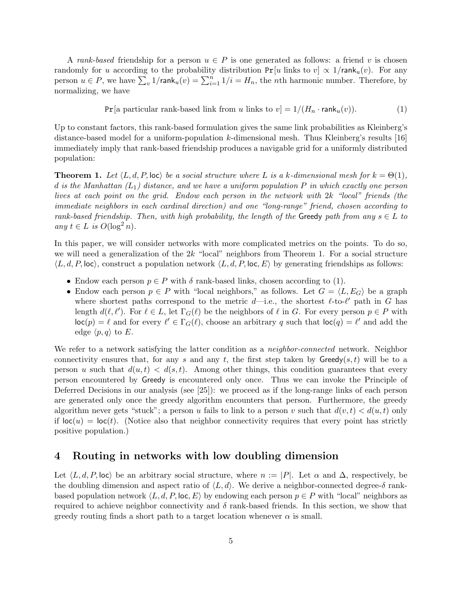A rank-based friendship for a person  $u \in P$  is one generated as follows: a friend v is chosen randomly for u according to the probability distribution  $Pr[u]$  links to  $v \propto 1/\text{rank}_u(v)$ . For any person  $u \in P$ , we have  $\sum_{v} 1/\text{rank}_{u}(v) = \sum_{i=1}^{n} 1/i = H_n$ , the *n*th harmonic number. Therefore, by normalizing, we have

$$
Pr[a \text{ particular rank-based link from } u \text{ links to } v] = 1/(H_n \cdot \text{rank}_u(v)).
$$
\n(1)

Up to constant factors, this rank-based formulation gives the same link probabilities as Kleinberg's distance-based model for a uniform-population k-dimensional mesh. Thus Kleinberg's results [16] immediately imply that rank-based friendship produces a navigable grid for a uniformly distributed population:

**Theorem 1.** Let  $\langle L, d, P \rangle$  loci be a social structure where L is a k-dimensional mesh for  $k = \Theta(1)$ . d is the Manhattan  $(L_1)$  distance, and we have a uniform population P in which exactly one person lives at each point on the grid. Endow each person in the network with 2k "local" friends (the immediate neighbors in each cardinal direction) and one "long-range" friend, chosen according to rank-based friendship. Then, with high probability, the length of the Greedy path from any  $s \in L$  to any  $t \in L$  is  $O(\log^2 n)$ .

In this paper, we will consider networks with more complicated metrics on the points. To do so, we will need a generalization of the  $2k$  "local" neighbors from Theorem 1. For a social structure  $\langle L, d, P, \text{loc}\rangle$ , construct a population network  $\langle L, d, P, \text{loc}, E \rangle$  by generating friendships as follows:

- Endow each person  $p \in P$  with  $\delta$  rank-based links, chosen according to (1).
- Endow each person  $p \in P$  with "local neighbors," as follows. Let  $G = \langle L, E_G \rangle$  be a graph where shortest paths correspond to the metric  $d$ -i.e., the shortest  $\ell$ -to- $\ell'$  path in G has length  $d(\ell, \ell')$ . For  $\ell \in L$ , let  $\Gamma_G(\ell)$  be the neighbors of  $\ell$  in G. For every person  $p \in P$  with  $\mathsf{loc}(p) = \ell$  and for every  $\ell' \in \Gamma_G(\ell)$ , choose an arbitrary q such that  $\mathsf{loc}(q) = \ell'$  and add the edge  $\langle p, q \rangle$  to E.

We refer to a network satisfying the latter condition as a *neighbor-connected* network. Neighbor connectivity ensures that, for any s and any t, the first step taken by  ${Greedy}(s, t)$  will be to a person u such that  $d(u, t) < d(s, t)$ . Among other things, this condition guarantees that every person encountered by Greedy is encountered only once. Thus we can invoke the Principle of Deferred Decisions in our analysis (see [25]): we proceed as if the long-range links of each person are generated only once the greedy algorithm encounters that person. Furthermore, the greedy algorithm never gets "stuck"; a person u fails to link to a person v such that  $d(v, t) < d(u, t)$  only if  $\text{loc}(u) = \text{loc}(t)$ . (Notice also that neighbor connectivity requires that every point has strictly positive population.)

### 4 Routing in networks with low doubling dimension

Let  $\langle L, d, P, \text{loc} \rangle$  be an arbitrary social structure, where  $n := |P|$ . Let  $\alpha$  and  $\Delta$ , respectively, be the doubling dimension and aspect ratio of  $\langle L, d \rangle$ . We derive a neighbor-connected degree- $\delta$  rankbased population network  $\langle L, d, P, \text{loc}, E \rangle$  by endowing each person  $p \in P$  with "local" neighbors as required to achieve neighbor connectivity and  $\delta$  rank-based friends. In this section, we show that greedy routing finds a short path to a target location whenever  $\alpha$  is small.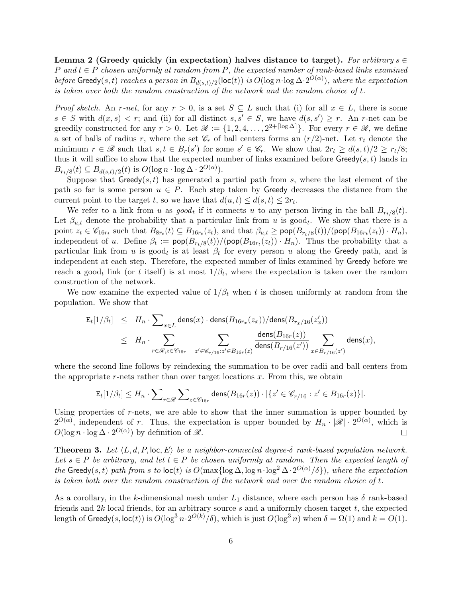Lemma 2 (Greedy quickly (in expectation) halves distance to target). For arbitrary  $s \in$ P and  $t \in P$  chosen uniformly at random from P, the expected number of rank-based links examined before Greedy $(s,t)$  reaches a person in  $B_{d(s,t)/2}(\textsf{loc}(t))$  is  $O(\log n\cdot \log \Delta\cdot 2^{O(\alpha)})$ , where the expectation is taken over both the random construction of the network and the random choice of  $t$ .

*Proof sketch.* An r-net, for any  $r > 0$ , is a set  $S \subseteq L$  such that (i) for all  $x \in L$ , there is some  $s \in S$  with  $d(x, s) < r$ ; and (ii) for all distinct  $s, s' \in S$ , we have  $d(s, s') \geq r$ . An r-net can be greedily constructed for any  $r > 0$ . Let  $\mathscr{R} := \{1, 2, 4, \ldots, 2^{2+\lceil \log \Delta \rceil}\}\.$  For every  $r \in \mathscr{R}$ , we define a set of balls of radius r, where the set  $\mathscr{C}_r$  of ball centers forms an  $(r/2)$ -net. Let  $r_t$  denote the minimum  $r \in \mathscr{R}$  such that  $s, t \in B_r(s')$  for some  $s' \in \mathscr{C}_r$ . We show that  $2r_t \geq d(s,t)/2 \geq r_t/8$ ; thus it will suffice to show that the expected number of links examined before  $\text{Greedy}(s, t)$  lands in  $B_{r_t/8}(t) \subseteq B_{d(s,t)/2}(t)$  is  $O(\log n \cdot \log \Delta \cdot 2^{O(\alpha)})$ .

Suppose that  $Greedy(s, t)$  has generated a partial path from s, where the last element of the path so far is some person  $u \in P$ . Each step taken by Greedy decreases the distance from the current point to the target t, so we have that  $d(u, t) \leq d(s, t) \leq 2r_t$ .

We refer to a link from u as  $good_t$  if it connects u to any person living in the ball  $B_{r_t/8}(t)$ . Let  $\beta_{u,t}$  denote the probability that a particular link from u is good<sub>t</sub>. We show that there is a point  $z_t \in \mathscr{C}_{16r_t}$  such that  $B_{8r_t}(t) \subseteq B_{16r_t}(z_t)$ , and that  $\beta_{u,t} \ge \text{pop}(B_{r_t/8}(t))/(\text{pop}(B_{16r_t}(z_t)) \cdot H_n)$ , independent of u. Define  $\beta_t := \text{pop}(B_{r_t/8}(t))/(\text{pop}(B_{16r_t}(z_t)) \cdot H_n)$ . Thus the probability that a particular link from u is good<sub>t</sub> is at least  $\beta_t$  for every person u along the Greedy path, and is independent at each step. Therefore, the expected number of links examined by Greedy before we reach a good<sub>t</sub> link (or t itself) is at most  $1/\beta_t$ , where the expectation is taken over the random construction of the network.

We now examine the expected value of  $1/\beta_t$  when t is chosen uniformly at random from the population. We show that

$$
\begin{array}{lcl} \mathsf{E}_t[1/\beta_t] & \leq & H_n \cdot \sum\nolimits_{x \in L} \mathsf{dens}(x) \cdot \mathsf{dens}(B_{16r_x}(z_x))/\mathsf{dens}(B_{r_x/16}(z_x')) \\ \\ & \leq & H_n \cdot \sum\limits_{r \in \mathscr{R}, z \in \mathscr{C}_{16r}} \sum\limits_{z' \in \mathscr{C}_{r/16}: z' \in B_{16r}(z)} \frac{\mathsf{dens}(B_{16r}(z))}{\mathsf{dens}(B_{r/16}(z'))} \sum\limits_{x \in B_{r/16}(z')} \mathsf{dens}(x), \end{array}
$$

where the second line follows by reindexing the summation to be over radii and ball centers from the appropriate r-nets rather than over target locations  $x$ . From this, we obtain

$$
\mathbf{E}_{t}[1/\beta_{t}] \leq H_{n} \cdot \sum\nolimits_{r \in \mathcal{R}} \sum\nolimits_{z \in \mathcal{C}_{16r}} \mathsf{dens}(B_{16r}(z)) \cdot |\{z' \in \mathcal{C}_{r/16} : z' \in B_{16r}(z)\}|.
$$

Using properties of  $r$ -nets, we are able to show that the inner summation is upper bounded by  $2^{O(\alpha)}$ , independent of r. Thus, the expectation is upper bounded by  $H_n \cdot |\mathscr{R}| \cdot 2^{O(\alpha)}$ , which is  $O(\log n \cdot \log \Delta \cdot 2^{O(\alpha)})$  by definition of  $\mathscr{R}$ .  $\Box$ 

**Theorem 3.** Let  $\langle L, d, P, \text{loc}, E \rangle$  be a neighbor-connected degree- $\delta$  rank-based population network. Let  $s \in P$  be arbitrary, and let  $t \in P$  be chosen uniformly at random. Then the expected length of the Greedy(s, t) path from s to  $\text{loc}(t)$  is  $O(\max{\log{\Delta}, \log{n \cdot \log^2{\Delta} \cdot 2^{O(\alpha)}}/\delta})$ , where the expectation is taken both over the random construction of the network and over the random choice of  $t$ .

As a corollary, in the k-dimensional mesh under  $L_1$  distance, where each person has  $\delta$  rank-based friends and  $2k$  local friends, for an arbitrary source s and a uniformly chosen target t, the expected length of Greedy(s,  $\textsf{loc}(t)$ ) is  $O(\log^3 n \cdot 2^{O(k)}/\delta)$ , which is just  $O(\log^3 n)$  when  $\delta = \Omega(1)$  and  $k = O(1)$ .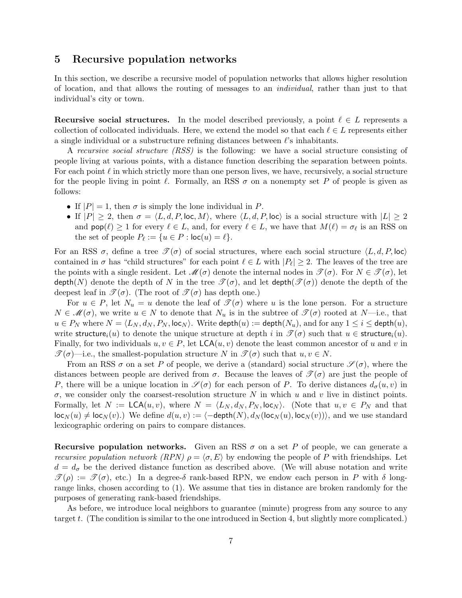### 5 Recursive population networks

In this section, we describe a recursive model of population networks that allows higher resolution of location, and that allows the routing of messages to an individual, rather than just to that individual's city or town.

Recursive social structures. In the model described previously, a point  $\ell \in L$  represents a collection of collocated individuals. Here, we extend the model so that each  $\ell \in L$  represents either a single individual or a substructure refining distances between  $\ell$ 's inhabitants.

A recursive social structure (RSS) is the following: we have a social structure consisting of people living at various points, with a distance function describing the separation between points. For each point  $\ell$  in which strictly more than one person lives, we have, recursively, a social structure for the people living in point  $\ell$ . Formally, an RSS  $\sigma$  on a nonempty set P of people is given as follows:

- If  $|P|=1$ , then  $\sigma$  is simply the lone individual in P.
- If  $|P| \geq 2$ , then  $\sigma = \langle L, d, P, \text{loc}, M \rangle$ , where  $\langle L, d, P, \text{loc} \rangle$  is a social structure with  $|L| \geq 2$ and  $\textsf{pop}(\ell) \geq 1$  for every  $\ell \in L$ , and, for every  $\ell \in L$ , we have that  $M(\ell) = \sigma_{\ell}$  is an RSS on the set of people  $P_{\ell} := \{u \in P : \mathsf{loc}(u) = \ell\}.$

For an RSS  $\sigma$ , define a tree  $\mathcal{T}(\sigma)$  of social structures, where each social structure  $\langle L, d, P, \text{loc} \rangle$ contained in  $\sigma$  has "child structures" for each point  $\ell \in L$  with  $|P_{\ell}| \geq 2$ . The leaves of the tree are the points with a single resident. Let  $\mathscr{M}(\sigma)$  denote the internal nodes in  $\mathscr{T}(\sigma)$ . For  $N \in \mathscr{T}(\sigma)$ , let depth(N) denote the depth of N in the tree  $\mathcal{T}(\sigma)$ , and let depth( $\mathcal{T}(\sigma)$ ) denote the depth of the deepest leaf in  $\mathscr{T}(\sigma)$ . (The root of  $\mathscr{T}(\sigma)$  has depth one.)

For  $u \in P$ , let  $N_u = u$  denote the leaf of  $\mathscr{T}(\sigma)$  where u is the lone person. For a structure  $N \in \mathcal{M}(\sigma)$ , we write  $u \in N$  to denote that  $N_u$  is in the subtree of  $\mathcal{F}(\sigma)$  rooted at N—i.e., that  $u \in P_N$  where  $N = \langle L_N , d_N , P_N , \text{loc}_N \rangle$ . Write depth $(u) := \text{depth}(N_u)$ , and for any  $1 \leq i \leq \text{depth}(u)$ , write structure<sub>i</sub>(u) to denote the unique structure at depth i in  $\mathcal{T}(\sigma)$  such that  $u \in$  structure<sub>i</sub>(u). Finally, for two individuals  $u, v \in P$ , let  $\mathsf{LCA}(u, v)$  denote the least common ancestor of u and v in  $\mathscr{T}(\sigma)$ —i.e., the smallest-population structure N in  $\mathscr{T}(\sigma)$  such that  $u, v \in N$ .

From an RSS  $\sigma$  on a set P of people, we derive a (standard) social structure  $\mathscr{S}(\sigma)$ , where the distances between people are derived from  $\sigma$ . Because the leaves of  $\mathcal{T}(\sigma)$  are just the people of P, there will be a unique location in  $\mathscr{S}(\sigma)$  for each person of P. To derive distances  $d_{\sigma}(u, v)$  in  $\sigma$ , we consider only the coarsest-resolution structure N in which u and v live in distinct points. Formally, let  $N := \mathsf{LCA}(u, v)$ , where  $N = \langle L_N, d_N, P_N, \mathsf{loc}_N \rangle$ . (Note that  $u, v \in P_N$  and that  $\log_N(u) \neq \log_N(v)$ .) We define  $d(u, v) := \langle -\text{depth}(N), d_N(\log_N(u), \log_N(v)) \rangle$ , and we use standard lexicographic ordering on pairs to compare distances.

**Recursive population networks.** Given an RSS  $\sigma$  on a set P of people, we can generate a *recursive population network (RPN)*  $\rho = \langle \sigma, E \rangle$  by endowing the people of P with friendships. Let  $d = d_{\sigma}$  be the derived distance function as described above. (We will abuse notation and write  $\mathscr{T}(\rho) := \mathscr{T}(\sigma)$ , etc.) In a degree- $\delta$  rank-based RPN, we endow each person in P with  $\delta$  longrange links, chosen according to (1). We assume that ties in distance are broken randomly for the purposes of generating rank-based friendships.

As before, we introduce local neighbors to guarantee (minute) progress from any source to any target t. (The condition is similar to the one introduced in Section 4, but slightly more complicated.)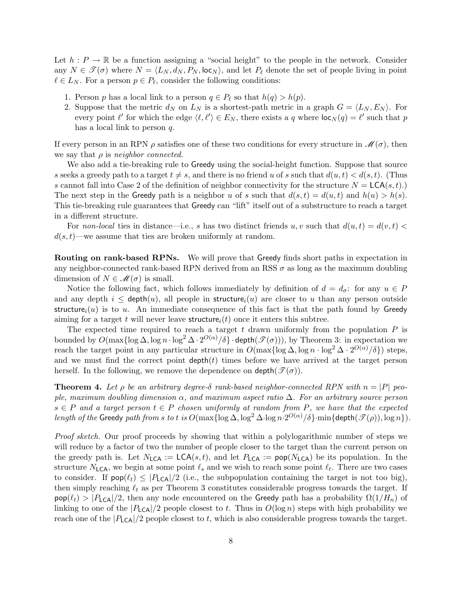Let  $h : P \to \mathbb{R}$  be a function assigning a "social height" to the people in the network. Consider any  $N \in \mathcal{T}(\sigma)$  where  $N = \langle L_N, d_N, P_N, \text{loc}_N \rangle$ , and let  $P_\ell$  denote the set of people living in point  $\ell \in L_N$ . For a person  $p \in P_\ell$ , consider the following conditions:

- 1. Person p has a local link to a person  $q \in P_\ell$  so that  $h(q) > h(p)$ .
- 2. Suppose that the metric  $d_N$  on  $L_N$  is a shortest-path metric in a graph  $G = \langle L_N, E_N \rangle$ . For every point  $\ell'$  for which the edge  $\langle \ell, \ell' \rangle \in E_N$ , there exists a q where  $\text{loc}_N(q) = \ell'$  such that p has a local link to person q.

If every person in an RPN  $\rho$  satisfies one of these two conditions for every structure in  $\mathcal{M}(\sigma)$ , then we say that  $\rho$  is neighbor connected.

We also add a tie-breaking rule to Greedy using the social-height function. Suppose that source s seeks a greedy path to a target  $t \neq s$ , and there is no friend u of s such that  $d(u, t) < d(s, t)$ . (Thus s cannot fall into Case 2 of the definition of neighbor connectivity for the structure  $N = LCA(s, t)$ . The next step in the Greedy path is a neighbor u of s such that  $d(s,t) = d(u,t)$  and  $h(u) > h(s)$ . This tie-breaking rule guarantees that Greedy can "lift" itself out of a substructure to reach a target in a different structure.

For non-local ties in distance—i.e., s has two distinct friends u, v such that  $d(u, t) = d(v, t)$  $d(s, t)$ —we assume that ties are broken uniformly at random.

Routing on rank-based RPNs. We will prove that Greedy finds short paths in expectation in any neighbor-connected rank-based RPN derived from an RSS  $\sigma$  as long as the maximum doubling dimension of  $N \in \mathcal{M}(\sigma)$  is small.

Notice the following fact, which follows immediately by definition of  $d = d_{\sigma}$ : for any  $u \in P$ and any depth  $i \leq$  depth $(u)$ , all people in structure<sub>i</sub> $(u)$  are closer to u than any person outside structure<sub>i</sub> $(u)$  is to u. An immediate consequence of this fact is that the path found by Greedy aiming for a target t will never leave structure<sub>i</sub> $(t)$  once it enters this subtree.

The expected time required to reach a target  $t$  drawn uniformly from the population  $P$  is bounded by  $O(\max\{\log \Delta, \log n \cdot \log^2 \Delta \cdot 2^{O(\alpha)}/\delta\} \cdot \mathsf{depth}(\mathscr{T}(\sigma)))$ , by Theorem 3: in expectation we reach the target point in any particular structure in  $O(\max{\log{\Delta}, \log{n} \cdot \log^2{\Delta} \cdot 2^{O(\alpha)}/\delta})$  steps, and we must find the correct point  $\text{depth}(t)$  times before we have arrived at the target person herself. In the following, we remove the dependence on  $\text{depth}(\mathscr{T}(\sigma)).$ 

**Theorem 4.** Let  $\rho$  be an arbitrary degree- $\delta$  rank-based neighbor-connected RPN with  $n = |P|$  people, maximum doubling dimension  $\alpha$ , and maximum aspect ratio  $\Delta$ . For an arbitrary source person  $s \in P$  and a target person  $t \in P$  chosen uniformly at random from P, we have that the expected length of the Greedy path from s to t is  $O(\max\{\log \Delta, \log^2 \Delta \cdot \log n \cdot 2^{O(\alpha)}/\delta\} \cdot \min\{\text{depth}(\mathscr{T}(\rho)), \log n\}).$ 

Proof sketch. Our proof proceeds by showing that within a polylogarithmic number of steps we will reduce by a factor of two the number of people closer to the target than the current person on the greedy path is. Let  $N_{\mathsf{LCA}} := \mathsf{LCA}(s,t)$ , and let  $P_{\mathsf{LCA}} := \mathsf{pop}(N_{\mathsf{LCA}})$  be its population. In the structure  $N_{\text{LCA}}$ , we begin at some point  $\ell_s$  and we wish to reach some point  $\ell_t$ . There are two cases to consider. If  $\text{pop}(\ell_t) \leq |P_{\text{LCA}}|/2$  (i.e., the subpopulation containing the target is not too big), then simply reaching  $\ell_t$  as per Theorem 3 constitutes considerable progress towards the target. If  $\textsf{pop}(\ell_t) > |P_{\textsf{LCA}}|/2$ , then any node encountered on the Greedy path has a probability  $\Omega(1/H_n)$  of linking to one of the  $|P_{LCA}|/2$  people closest to t. Thus in  $O(\log n)$  steps with high probability we reach one of the  $|P_{\text{LCA}}|/2$  people closest to t, which is also considerable progress towards the target.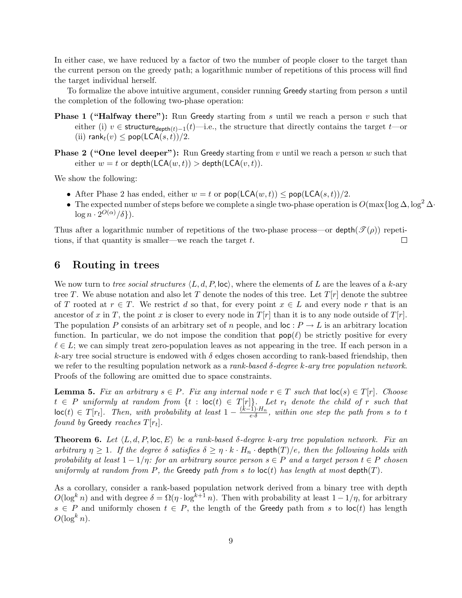In either case, we have reduced by a factor of two the number of people closer to the target than the current person on the greedy path; a logarithmic number of repetitions of this process will find the target individual herself.

To formalize the above intuitive argument, consider running Greedy starting from person s until the completion of the following two-phase operation:

- **Phase 1 ("Halfway there"):** Run Greedy starting from s until we reach a person v such that either (i)  $v \in$  structure<sub>depth(t)</sub>-1(t)—i.e., the structure that directly contains the target t—or (ii) rank $t(v) \le \text{pop}(\text{\sf LCA}(s,t))/2$ .
- **Phase 2 ("One level deeper"):** Run Greedy starting from v until we reach a person w such that either  $w = t$  or depth(LCA( $w, t$ ))  $>$  depth(LCA( $v, t$ )).

We show the following:

- After Phase 2 has ended, either  $w = t$  or  $\text{pop}(\textsf{LCA}(w, t)) \le \text{pop}(\textsf{LCA}(s, t))/2$ .
- The expected number of steps before we complete a single two-phase operation is  $O(\max\{\log \Delta, \log^2 \Delta\cdot\}$  $\log n \cdot 2^{O(\alpha)}/\delta\}).$

Thus after a logarithmic number of repetitions of the two-phase process—or depth( $\mathcal{T}(\rho)$ ) repetitions, if that quantity is smaller—we reach the target  $t$ .  $\Box$ 

#### 6 Routing in trees

We now turn to tree social structures  $\langle L, d, P, \text{loc} \rangle$ , where the elements of L are the leaves of a k-ary tree T. We abuse notation and also let T denote the nodes of this tree. Let  $T[r]$  denote the subtree of T rooted at  $r \in T$ . We restrict d so that, for every point  $x \in L$  and every node r that is an ancestor of x in T, the point x is closer to every node in  $T[r]$  than it is to any node outside of  $T[r]$ . The population P consists of an arbitrary set of n people, and  $\text{loc}: P \to L$  is an arbitrary location function. In particular, we do not impose the condition that  $\text{pop}(\ell)$  be strictly positive for every  $\ell \in L$ ; we can simply treat zero-population leaves as not appearing in the tree. If each person in a k-ary tree social structure is endowed with  $\delta$  edges chosen according to rank-based friendship, then we refer to the resulting population network as a *rank-based*  $\delta$ *-degree k-ary tree population network*. Proofs of the following are omitted due to space constraints.

**Lemma 5.** Fix an arbitrary  $s \in P$ . Fix any internal node  $r \in T$  such that  $\text{loc}(s) \in T[r]$ . Choose  $t \in P$  uniformly at random from  $\{t : \mathsf{loc}(t) \in T[r]\}$ . Let  $r_t$  denote the child of r such that  $\textsf{loc}(t) \in T[r_t]$ . Then, with probability at least  $1 - \frac{(k-1) \cdot H_n}{e \cdot \delta}$  $\frac{(-1)^n H_n}{e \cdot \delta}$ , within one step the path from s to t  $found\;by$  Greedy  $reaches\;T[r_t].$ 

**Theorem 6.** Let  $\langle L, d, P, \text{loc}, E \rangle$  be a rank-based  $\delta$ -degree k-ary tree population network. Fix an arbitrary  $\eta \geq 1$ . If the degree  $\delta$  satisfies  $\delta \geq \eta \cdot k \cdot H_n \cdot$  depth $(T)/e$ , then the following holds with probability at least  $1 - 1/\eta$ : for an arbitrary source person  $s \in P$  and a target person  $t \in P$  chosen uniformly at random from P, the Greedy path from s to  $\text{loc}(t)$  has length at most depth(T).

As a corollary, consider a rank-based population network derived from a binary tree with depth  $O(\log^k n)$  and with degree  $\delta = \Omega(\eta \cdot \log^{k+1} n)$ . Then with probability at least  $1 - 1/\eta$ , for arbitrary  $s \in P$  and uniformly chosen  $t \in P$ , the length of the Greedy path from s to loc(t) has length  $O(\log^k n)$ .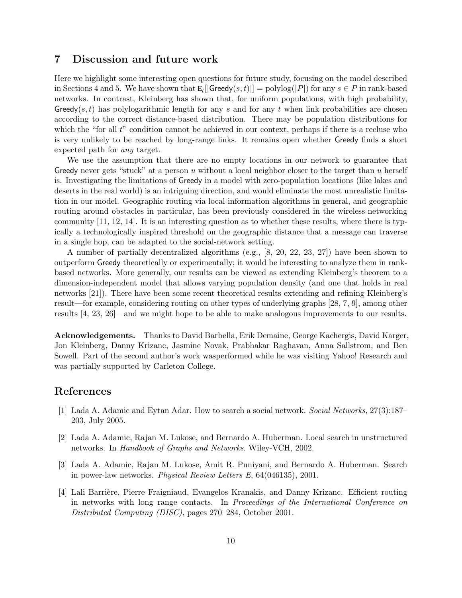### 7 Discussion and future work

Here we highlight some interesting open questions for future study, focusing on the model described in Sections 4 and 5. We have shown that  $\mathsf{E}_t[|\mathsf{Greedy}(s,t)|] = \mathrm{polylog}(|P|)$  for any  $s \in P$  in rank-based networks. In contrast, Kleinberg has shown that, for uniform populations, with high probability, Greedy(s, t) has polylogarithmic length for any s and for any t when link probabilities are chosen according to the correct distance-based distribution. There may be population distributions for which the "for all  $t$ " condition cannot be achieved in our context, perhaps if there is a recluse who is very unlikely to be reached by long-range links. It remains open whether Greedy finds a short expected path for any target.

We use the assumption that there are no empty locations in our network to guarantee that Greedy never gets "stuck" at a person  $u$  without a local neighbor closer to the target than  $u$  herself is. Investigating the limitations of Greedy in a model with zero-population locations (like lakes and deserts in the real world) is an intriguing direction, and would eliminate the most unrealistic limitation in our model. Geographic routing via local-information algorithms in general, and geographic routing around obstacles in particular, has been previously considered in the wireless-networking community [11, 12, 14]. It is an interesting question as to whether these results, where there is typically a technologically inspired threshold on the geographic distance that a message can traverse in a single hop, can be adapted to the social-network setting.

A number of partially decentralized algorithms (e.g., [8, 20, 22, 23, 27]) have been shown to outperform Greedy theoretically or experimentally; it would be interesting to analyze them in rankbased networks. More generally, our results can be viewed as extending Kleinberg's theorem to a dimension-independent model that allows varying population density (and one that holds in real networks [21]). There have been some recent theoretical results extending and refining Kleinberg's result—for example, considering routing on other types of underlying graphs [28, 7, 9], among other results [4, 23, 26]—and we might hope to be able to make analogous improvements to our results.

Acknowledgements. Thanks to David Barbella, Erik Demaine, George Kachergis, David Karger, Jon Kleinberg, Danny Krizanc, Jasmine Novak, Prabhakar Raghavan, Anna Sallstrom, and Ben Sowell. Part of the second author's work wasperformed while he was visiting Yahoo! Research and was partially supported by Carleton College.

#### References

- [1] Lada A. Adamic and Eytan Adar. How to search a social network. Social Networks, 27(3):187– 203, July 2005.
- [2] Lada A. Adamic, Rajan M. Lukose, and Bernardo A. Huberman. Local search in unstructured networks. In Handbook of Graphs and Networks. Wiley-VCH, 2002.
- [3] Lada A. Adamic, Rajan M. Lukose, Amit R. Puniyani, and Bernardo A. Huberman. Search in power-law networks. Physical Review Letters E, 64(046135), 2001.
- [4] Lali Barrière, Pierre Fraigniaud, Evangelos Kranakis, and Danny Krizanc. Efficient routing in networks with long range contacts. In Proceedings of the International Conference on Distributed Computing (DISC), pages 270–284, October 2001.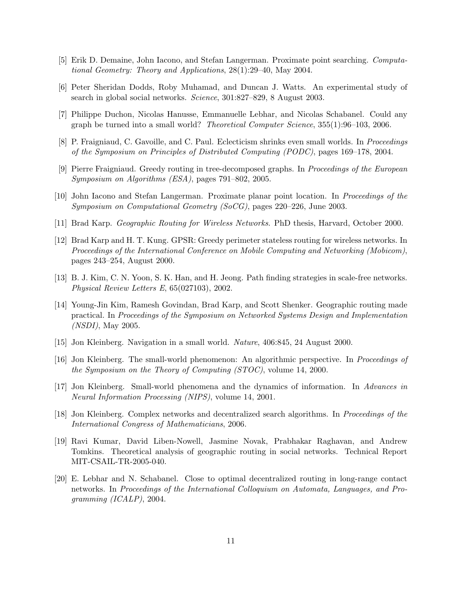- [5] Erik D. Demaine, John Iacono, and Stefan Langerman. Proximate point searching. Computational Geometry: Theory and Applications, 28(1):29–40, May 2004.
- [6] Peter Sheridan Dodds, Roby Muhamad, and Duncan J. Watts. An experimental study of search in global social networks. Science, 301:827–829, 8 August 2003.
- [7] Philippe Duchon, Nicolas Hanusse, Emmanuelle Lebhar, and Nicolas Schabanel. Could any graph be turned into a small world? Theoretical Computer Science, 355(1):96–103, 2006.
- [8] P. Fraigniaud, C. Gavoille, and C. Paul. Eclecticism shrinks even small worlds. In Proceedings of the Symposium on Principles of Distributed Computing (PODC), pages 169–178, 2004.
- [9] Pierre Fraigniaud. Greedy routing in tree-decomposed graphs. In Proceedings of the European Symposium on Algorithms (ESA), pages 791–802, 2005.
- [10] John Iacono and Stefan Langerman. Proximate planar point location. In Proceedings of the Symposium on Computational Geometry (SoCG), pages 220–226, June 2003.
- [11] Brad Karp. Geographic Routing for Wireless Networks. PhD thesis, Harvard, October 2000.
- [12] Brad Karp and H. T. Kung. GPSR: Greedy perimeter stateless routing for wireless networks. In Proceedings of the International Conference on Mobile Computing and Networking (Mobicom), pages 243–254, August 2000.
- [13] B. J. Kim, C. N. Yoon, S. K. Han, and H. Jeong. Path finding strategies in scale-free networks. Physical Review Letters E, 65(027103), 2002.
- [14] Young-Jin Kim, Ramesh Govindan, Brad Karp, and Scott Shenker. Geographic routing made practical. In Proceedings of the Symposium on Networked Systems Design and Implementation (NSDI), May 2005.
- [15] Jon Kleinberg. Navigation in a small world. Nature, 406:845, 24 August 2000.
- [16] Jon Kleinberg. The small-world phenomenon: An algorithmic perspective. In Proceedings of the Symposium on the Theory of Computing (STOC), volume 14, 2000.
- [17] Jon Kleinberg. Small-world phenomena and the dynamics of information. In Advances in Neural Information Processing (NIPS), volume 14, 2001.
- [18] Jon Kleinberg. Complex networks and decentralized search algorithms. In Proceedings of the International Congress of Mathematicians, 2006.
- [19] Ravi Kumar, David Liben-Nowell, Jasmine Novak, Prabhakar Raghavan, and Andrew Tomkins. Theoretical analysis of geographic routing in social networks. Technical Report MIT-CSAIL-TR-2005-040.
- [20] E. Lebhar and N. Schabanel. Close to optimal decentralized routing in long-range contact networks. In Proceedings of the International Colloquium on Automata, Languages, and Programming (ICALP), 2004.